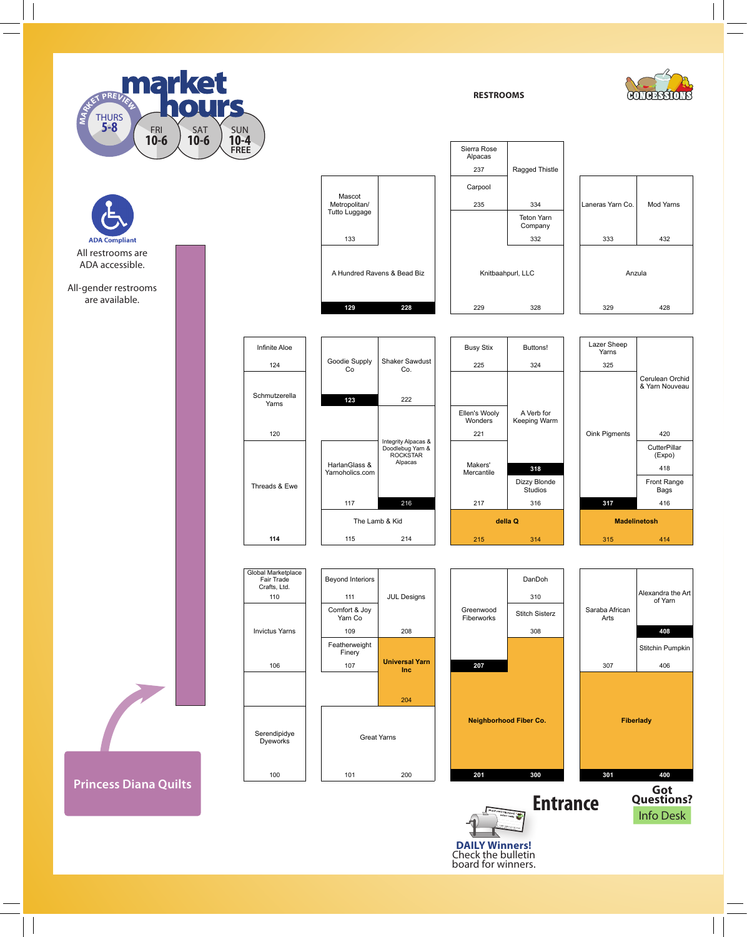

QUILT DISPLAYS

**ADA Com** All restrooms are ADA accessible.

All-gender restrooms are available.

**Princess Diana Quilts**



| Infinite Aloe          |                                  |                                                                | <b>Busy Stix</b>         | Buttons!                   | Lazer Sheep<br>Yarns        |                                   |
|------------------------|----------------------------------|----------------------------------------------------------------|--------------------------|----------------------------|-----------------------------|-----------------------------------|
| 124                    | Goodie Supply<br>Co              | Shaker Sawdust<br>Co.<br>222                                   | 225                      | 324                        | 325<br>Oink Pigments<br>318 | Cerulean Orchid<br>& Yarn Nouveau |
|                        |                                  |                                                                |                          |                            |                             |                                   |
| Schmutzerella<br>Yarns | 123                              |                                                                |                          |                            |                             |                                   |
|                        |                                  |                                                                | Ellen's Wooly<br>Wonders | A Verb for<br>Keeping Warm |                             |                                   |
| 120                    |                                  | Integrity Alpacas &<br>Doodlebug Yarn &<br>ROCKŠTAR<br>Alpacas | 221                      |                            |                             | 420                               |
|                        |                                  |                                                                | Makers'<br>Mercantile    | Dizzy Blonde<br>Studios    |                             | CutterPillar<br>(Expo)            |
| Threads & Ewe          | HarlanGlass &<br>Yarnoholics.com |                                                                |                          |                            |                             | 418                               |
|                        |                                  |                                                                |                          |                            |                             | Front Range<br>Bags               |
|                        | 117                              | 216                                                            | 217                      | 316                        | 317                         | 416                               |
|                        | The Lamb & Kid                   |                                                                | della Q                  |                            | <b>Madelinetosh</b>         |                                   |
| 114                    | 115                              | 214                                                            | 215                      | 314                        | 315                         | 414                               |



**DAILY Winners!** Check the bulletin board for winners.









Laneras Yarn Co. Mod Yarns

**RESTROOMS**

Teton Yarn Company